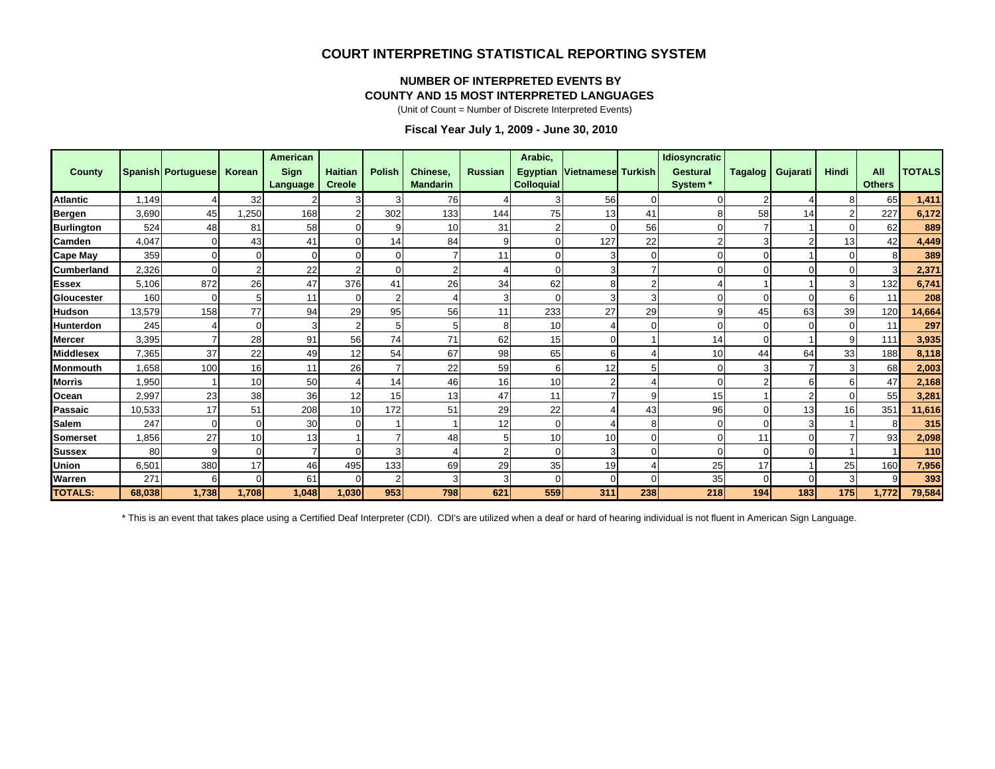#### **COURT INTERPRETING STATISTICAL REPORTING SYSTEM**

#### **NUMBER OF INTERPRETED EVENTS BY**

#### **COUNTY AND 15 MOST INTERPRETED LANGUAGES**

(Unit of Count = Number of Discrete Interpreted Events)

#### **Fiscal Year July 1, 2009 - June 30, 2010**

| County            |        | <b>Spanish Portuguese</b> | Korean | <b>American</b><br><b>Sign</b><br>Language | <b>Haitian</b><br><b>Creole</b> | <b>Polish</b>  | Chinese,<br><b>Mandarin</b> | <b>Russian</b> | Arabic,<br><b>Egyptian</b><br><b>Colloquial</b> | Vietnamese Turkish |     | <b>Idiosyncratic</b><br><b>Gestural</b><br>System <sup>*</sup> | <b>Tagalog</b> | Gujarati | Hindi | All<br><b>Others</b> | <b>TOTALS</b> |
|-------------------|--------|---------------------------|--------|--------------------------------------------|---------------------------------|----------------|-----------------------------|----------------|-------------------------------------------------|--------------------|-----|----------------------------------------------------------------|----------------|----------|-------|----------------------|---------------|
| <b>Atlantic</b>   | 1.149  |                           | 32     |                                            | 3                               | 3              | 76                          |                | 3                                               | 56                 |     |                                                                |                |          |       | 65                   | 1,411         |
| <b>Bergen</b>     | 3,690  | 45                        | 1,250  | 168                                        |                                 | 302            | 133                         | 144            | 75                                              | 13                 | 41  | 8                                                              | 58             | 14       |       | 227                  | 6,172         |
| <b>Burlington</b> | 524    | 48                        | 81     | 58                                         |                                 | 9              | 10                          | 31             | $\overline{2}$                                  | $\Omega$           | 56  | $\overline{0}$                                                 |                |          |       | 62                   | 889           |
| Camden            | 4,047  |                           | 43     | 41                                         |                                 | 14             | 84                          | 9              | $\Omega$                                        | 127                | 22  | $\overline{2}$                                                 | 3              |          | 13    | 42                   | 4,449         |
| <b>Cape May</b>   | 359    |                           |        | $\Omega$                                   |                                 | $\Omega$       |                             | 11             | $\Omega$                                        | 3                  |     | $\overline{0}$                                                 | $\Omega$       |          |       |                      | 389           |
| <b>Cumberland</b> | 2,326  |                           |        | 22                                         |                                 | $\Omega$       |                             | 4              | $\Omega$                                        |                    |     | $\overline{0}$                                                 | U              | $\Omega$ |       |                      | 2,371         |
| <b>Essex</b>      | 5,106  | 872                       | 26     | 47                                         | 376                             | 41             | 26                          | 34             | 62                                              | 8                  | 2   |                                                                |                |          |       | 132                  | 6,741         |
| Gloucester        | 160    |                           |        | 11                                         | $\Omega$                        | $\overline{2}$ |                             | 3              | 0                                               | 3                  | 3   | $\overline{0}$                                                 |                | $\Omega$ |       | 11                   | 208           |
| <b>Hudson</b>     | 13,579 | 158                       | 77     | 94                                         | 29                              | 95             | 56                          | 11             | 233                                             | 27                 | 29  | 9                                                              | 45             | 63       | 39    | 120                  | 14,664        |
| <b>Hunterdon</b>  | 245    |                           |        |                                            |                                 | 5              |                             | 8              | 10                                              |                    |     | $\Omega$                                                       |                |          |       | 11                   | 297           |
| <b>Mercer</b>     | 3,395  |                           | 28     | 91                                         | 56                              | 74             | 71                          | 62             | 15                                              | $\Omega$           |     | 14                                                             | $\Omega$       |          | 9     | 111                  | 3,935         |
| <b>Middlesex</b>  | 7,365  | 37                        | 22     | 49                                         | 12                              | 54             | 67                          | 98             | 65                                              | 6                  |     | 10                                                             | 44             | 64       | 33    | 188                  | 8,118         |
| <b>Monmouth</b>   | 1,658  | 100                       | 16     | 11                                         | 26                              |                | 22                          | 59             | 6                                               | 12                 | 5   | $\overline{0}$                                                 | 3              |          |       | 68                   | 2,003         |
| <b>Morris</b>     | .950   |                           | 10     | 50                                         |                                 | 14             | 46                          | 16             | 10                                              |                    |     | $\overline{0}$                                                 |                | 6        |       | 47                   | 2,168         |
| Ocean             | 2,997  | 23                        | 38     | 36                                         | 12                              | 15             | 13                          | 47             | 11                                              |                    | 9   | 15                                                             |                | 2        |       | 55                   | 3,281         |
| Passaic           | 10,533 | 17                        | 51     | 208                                        | 10                              | 172            | 51                          | 29             | 22                                              |                    | 43  | 96                                                             | 0              | 13       | 16    | 351                  | 11,616        |
| <b>Salem</b>      | 247    | $\Omega$                  |        | 30                                         |                                 |                |                             | 12             | $\mathbf 0$                                     |                    |     | $\overline{0}$                                                 |                | 3        |       |                      | 315           |
| <b>Somerset</b>   | ,856   | 27                        | 10     | 13                                         |                                 |                | 48                          | 5              | 10                                              | 10                 |     | $\overline{0}$                                                 | 11             | $\Omega$ |       | 93                   | 2,098         |
| <b>Sussex</b>     | 80     | 9                         |        |                                            |                                 | 3              |                             | $\overline{2}$ | $\mathbf 0$                                     | 3                  |     | $\overline{0}$                                                 | $\Omega$       | $\Omega$ |       |                      | 110           |
| <b>Union</b>      | 6,501  | 380                       | 17     | 46                                         | 495                             | 133            | 69                          | 29             | 35                                              | 19                 |     | 25                                                             | 17             |          | 25    | 160                  | 7,956         |
| Warren            | 271    | 6                         |        | 61                                         | $\Omega$                        | $\overline{2}$ |                             | 3              | $\Omega$                                        | $\Omega$           |     | 35                                                             | $\Omega$       | $\Omega$ |       |                      | 393           |
| <b>TOTALS:</b>    | 68.038 | 1,738                     | 1.708  | 1.048                                      | 1.030                           | 953            | 798                         | 621            | 559                                             | 311                | 238 | 218                                                            | 194            | 183      | 175   | 1.772                | 79,584        |

\* This is an event that takes place using a Certified Deaf Interpreter (CDI). CDI's are utilized when a deaf or hard of hearing individual is not fluent in American Sign Language.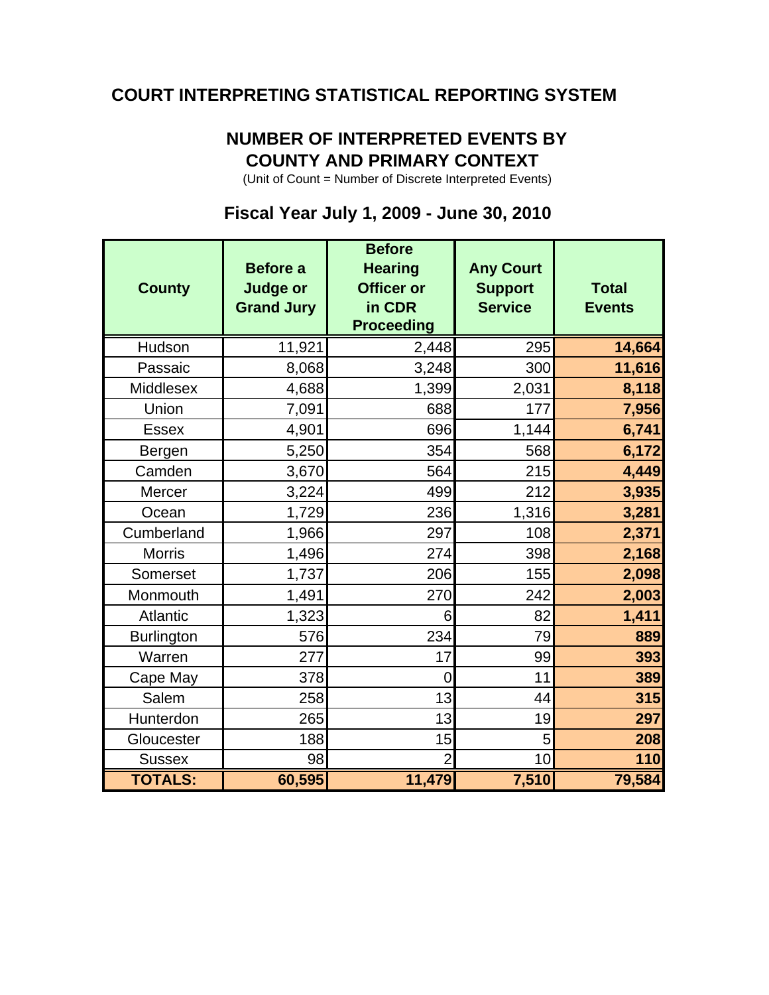## **COURT INTERPRETING STATISTICAL REPORTING SYSTEM**

# **NUMBER OF INTERPRETED EVENTS BY COUNTY AND PRIMARY CONTEXT**

(Unit of Count = Number of Discrete Interpreted Events)

## **Fiscal Year July 1, 2009 - June 30, 2010**

| <b>County</b>     | <b>Before a</b><br><b>Judge or</b><br><b>Grand Jury</b> | <b>Before</b><br><b>Hearing</b><br><b>Officer or</b><br>in CDR<br><b>Proceeding</b> | <b>Any Court</b><br><b>Support</b><br><b>Service</b> | <b>Total</b><br><b>Events</b> |
|-------------------|---------------------------------------------------------|-------------------------------------------------------------------------------------|------------------------------------------------------|-------------------------------|
| Hudson            | 11,921                                                  | 2,448                                                                               | 295                                                  | 14,664                        |
| Passaic           | 8,068                                                   | 3,248                                                                               | 300                                                  | 11,616                        |
| Middlesex         | 4,688                                                   | 1,399                                                                               | 2,031                                                | 8,118                         |
| Union             | 7,091                                                   | 688                                                                                 | 177                                                  | 7,956                         |
| <b>Essex</b>      | 4,901                                                   | 696                                                                                 | 1,144                                                | 6,741                         |
| Bergen            | 5,250                                                   | 354                                                                                 | 568                                                  | 6,172                         |
| Camden            | 3,670                                                   | 564                                                                                 | 215                                                  | 4,449                         |
| Mercer            | 3,224                                                   | 499                                                                                 | 212                                                  | 3,935                         |
| Ocean             | 1,729                                                   | 236                                                                                 | 1,316                                                | 3,281                         |
| Cumberland        | 1,966                                                   | 297                                                                                 | 108                                                  | 2,371                         |
| <b>Morris</b>     | 1,496                                                   | 274                                                                                 | 398                                                  | 2,168                         |
| Somerset          | 1,737                                                   | 206                                                                                 | 155                                                  | 2,098                         |
| Monmouth          | 1,491                                                   | 270                                                                                 | 242                                                  | 2,003                         |
| <b>Atlantic</b>   | 1,323                                                   | 6                                                                                   | 82                                                   | 1,411                         |
| <b>Burlington</b> | 576                                                     | 234                                                                                 | 79                                                   | 889                           |
| Warren            | 277                                                     | 17                                                                                  | 99                                                   | 393                           |
| Cape May          | 378                                                     | 0                                                                                   | 11                                                   | 389                           |
| Salem             | 258                                                     | 13                                                                                  | 44                                                   | 315                           |
| Hunterdon         | 265                                                     | 13                                                                                  | 19                                                   | 297                           |
| Gloucester        | 188                                                     | 15                                                                                  | 5                                                    | 208                           |
| <b>Sussex</b>     | 98                                                      | $\overline{2}$                                                                      | 10                                                   | 110                           |
| <b>TOTALS:</b>    | 60,595                                                  | 11,479                                                                              | 7,510                                                | 79,584                        |